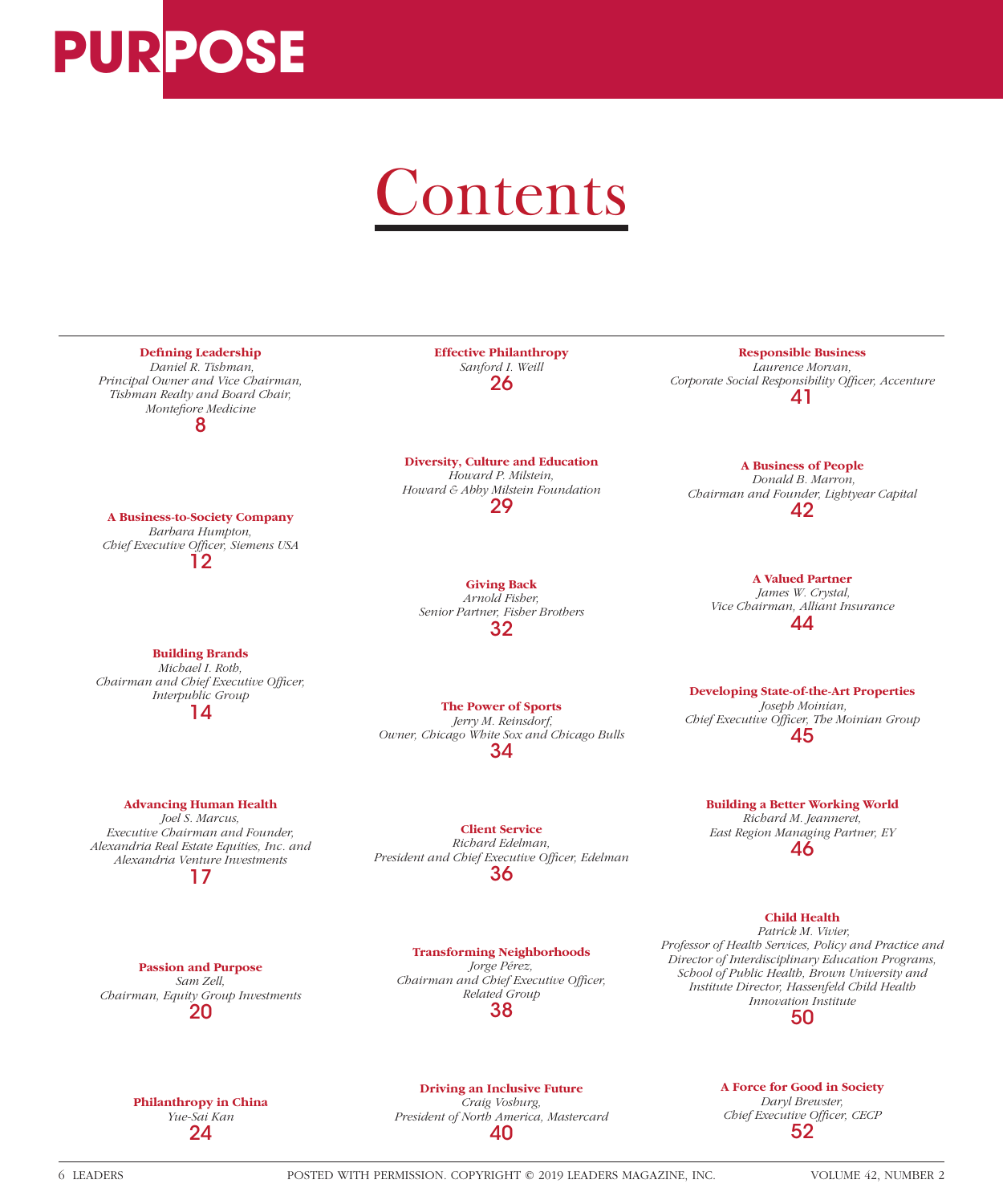

## Contents



**Philanthropy in China** *Yue-Sai Kan* 24

**Driving an Inclusive Future** *Craig Vosburg, President of North America, Mastercard* 40

**A Force for Good in Society** *Daryl Brewster,*  **Chief Executive Officer, CECP** 52

6 LEADERS POSTED WITH PERMISSION. COPYRIGHT © 2019 LEADERS MAGAZINE, INC. VOLUME 42, NUMBER 2